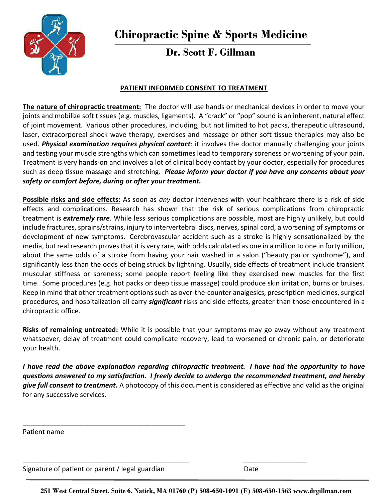

# **Dr. Scott F. Gillman**

### **PATIENT INFORMED CONSENT TO TREATMENT**

**The nature of chiropractic treatment:** The doctor will use hands or mechanical devices in order to move your joints and mobilize soft tissues (e.g. muscles, ligaments). A "crack" or "pop" sound is an inherent, natural effect of joint movement. Various other procedures, including, but not limited to hot packs, therapeutic ultrasound, laser, extracorporeal shock wave therapy, exercises and massage or other soft tissue therapies may also be used. *Physical examination requires physical contact*: it involves the doctor manually challenging your joints and testing your muscle strengths which can sometimes lead to temporary soreness or worsening of your pain. Treatment is very hands-on and involves a lot of clinical body contact by your doctor, especially for procedures such as deep tissue massage and stretching. *Please inform your doctor if you have any concerns about your safety or comfort before, during or after your treatment.*

**Possible risks and side effects:** As soon as *any* doctor intervenes with your healthcare there is a risk of side effects and complications. Research has shown that the risk of serious complications from chiropractic treatment is *extremely rare*. While less serious complications are possible, most are highly unlikely, but could include fractures, sprains/strains, injury to intervertebral discs, nerves, spinal cord, a worsening of symptoms or development of new symptoms. Cerebrovascular accident such as a stroke is highly sensationalized by the media, but real research proves that it is very rare, with odds calculated as one in a million to one in forty million, about the same odds of a stroke from having your hair washed in a salon ("beauty parlor syndrome"), and significantly less than the odds of being struck by lightning. Usually, side effects of treatment include transient muscular stiffness or soreness; some people report feeling like they exercised new muscles for the first time. Some procedures (e.g. hot packs or deep tissue massage) could produce skin irritation, burns or bruises. Keep in mind that other treatment options such as over-the-counter analgesics, prescription medicines, surgical procedures, and hospitalization all carry *significant* risks and side effects, greater than those encountered in a chiropractic office.

**Risks of remaining untreated:** While it is possible that your symptoms may go away without any treatment whatsoever, delay of treatment could complicate recovery, lead to worsened or chronic pain, or deteriorate your health.

*I have read the above explanation regarding chiropractic treatment. I have had the opportunity to have* questions answered to my satisfaction. I freely decide to undergo the recommended treatment, and hereby give full consent to treatment. A photocopy of this document is considered as effective and valid as the original for any successive services.

Patient name

Signature of patient or parent / legal guardian dentity and the Date

\_\_\_\_\_\_\_\_\_\_\_\_\_\_\_\_\_\_\_\_\_\_\_\_\_\_\_\_\_\_\_\_\_\_\_\_\_\_\_\_\_\_\_

**251 West Central Street, Suite 6, Natick, MA 01760 (P) 508-650-1091 (F) 508-650-1563 www.drgillman.com**

\_\_\_\_\_\_\_\_\_\_\_\_\_\_\_\_\_\_\_\_\_\_\_\_\_\_\_\_\_\_\_\_\_\_\_\_\_\_\_\_\_\_\_\_ \_\_\_\_\_\_\_\_\_\_\_\_\_\_\_\_\_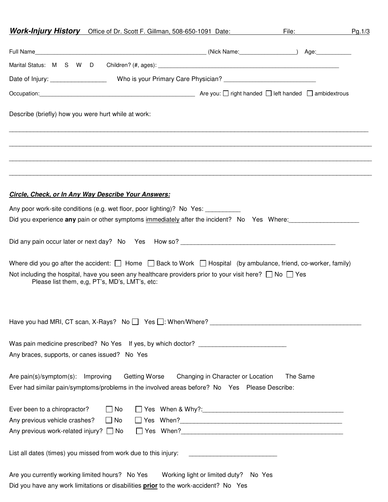|                                                     | <b>Work-Injury History</b> Office of Dr. Scott F. Gillman, 508-650-1091 Date:                                                                                                                                                                                                                         |                                   | File: The Contract of the Contract of the Contract of the Contract of the Contract of the Contract of the Contract of the Contract of the Contract of the Contract of the Contract of the Contract of the Contract of the Cont | Pg.1/3 |
|-----------------------------------------------------|-------------------------------------------------------------------------------------------------------------------------------------------------------------------------------------------------------------------------------------------------------------------------------------------------------|-----------------------------------|--------------------------------------------------------------------------------------------------------------------------------------------------------------------------------------------------------------------------------|--------|
|                                                     |                                                                                                                                                                                                                                                                                                       |                                   |                                                                                                                                                                                                                                |        |
| Marital Status: M S W D                             |                                                                                                                                                                                                                                                                                                       |                                   |                                                                                                                                                                                                                                |        |
|                                                     |                                                                                                                                                                                                                                                                                                       |                                   |                                                                                                                                                                                                                                |        |
|                                                     |                                                                                                                                                                                                                                                                                                       |                                   |                                                                                                                                                                                                                                |        |
| Describe (briefly) how you were hurt while at work: |                                                                                                                                                                                                                                                                                                       |                                   |                                                                                                                                                                                                                                |        |
|                                                     | <b>Circle, Check, or In Any Way Describe Your Answers:</b>                                                                                                                                                                                                                                            |                                   |                                                                                                                                                                                                                                |        |
|                                                     | Any poor work-site conditions (e.g. wet floor, poor lighting)? No Yes: __________                                                                                                                                                                                                                     |                                   |                                                                                                                                                                                                                                |        |
|                                                     | Did you experience any pain or other symptoms immediately after the incident? No Yes Where:                                                                                                                                                                                                           |                                   |                                                                                                                                                                                                                                |        |
|                                                     |                                                                                                                                                                                                                                                                                                       |                                   |                                                                                                                                                                                                                                |        |
|                                                     | Where did you go after the accident: $\Box$ Home $\Box$ Back to Work $\Box$ Hospital (by ambulance, friend, co-worker, family)<br>Not including the hospital, have you seen any healthcare providers prior to your visit here? $\Box$ No $\Box$ Yes<br>Please list them, e,g, PT's, MD's, LMT's, etc: |                                   |                                                                                                                                                                                                                                |        |
|                                                     |                                                                                                                                                                                                                                                                                                       |                                   |                                                                                                                                                                                                                                |        |
| Any braces, supports, or canes issued? No Yes       | Was pain medicine prescribed? No Yes If yes, by which doctor? ___________________                                                                                                                                                                                                                     |                                   |                                                                                                                                                                                                                                |        |
| Are pain(s)/symptom(s): Improving                   | Getting Worse<br>Ever had similar pain/symptoms/problems in the involved areas before? No Yes Please Describe:                                                                                                                                                                                        | Changing in Character or Location | The Same                                                                                                                                                                                                                       |        |
| Ever been to a chiropractor?                        | $\Box$ No                                                                                                                                                                                                                                                                                             |                                   |                                                                                                                                                                                                                                |        |
| Any previous vehicle crashes?                       | $\Box$ No                                                                                                                                                                                                                                                                                             |                                   |                                                                                                                                                                                                                                |        |
| Any previous work-related injury? $\Box$ No         |                                                                                                                                                                                                                                                                                                       |                                   |                                                                                                                                                                                                                                |        |
|                                                     | List all dates (times) you missed from work due to this injury:                                                                                                                                                                                                                                       |                                   |                                                                                                                                                                                                                                |        |
|                                                     | Are you currently working limited hours? No Yes Working light or limited duty? No Yes<br>Did you have any work limitations or disabilities prior to the work-accident? No Yes                                                                                                                         |                                   |                                                                                                                                                                                                                                |        |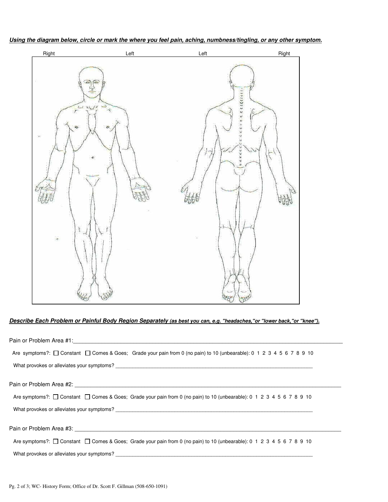**Using the diagram below, circle or mark the where you feel pain, aching, numbness/tingling, or any other symptom.** 



### **Describe Each Problem or Painful Body Region Separately (as best you can, e.g. "headaches,"or "lower back,"or "knee").**

| Are symptoms?: □ Constant □ Comes & Goes; Grade your pain from 0 (no pain) to 10 (unbearable): 0 1 2 3 4 5 6 7 8 9 10                                                                                                            |
|----------------------------------------------------------------------------------------------------------------------------------------------------------------------------------------------------------------------------------|
|                                                                                                                                                                                                                                  |
|                                                                                                                                                                                                                                  |
|                                                                                                                                                                                                                                  |
| Are symptoms?: □ Constant □ Comes & Goes; Grade your pain from 0 (no pain) to 10 (unbearable): 0 1 2 3 4 5 6 7 8 9 10                                                                                                            |
| What provokes or alleviates your symptoms?<br>The contract of the contract of the contract of the contract of the contract of the contract of the contract of the contract of the contract of the contract of the contract of th |
|                                                                                                                                                                                                                                  |
|                                                                                                                                                                                                                                  |
| Are symptoms?: □ Constant □ Comes & Goes; Grade your pain from 0 (no pain) to 10 (unbearable): 0 1 2 3 4 5 6 7 8 9 10                                                                                                            |
|                                                                                                                                                                                                                                  |
|                                                                                                                                                                                                                                  |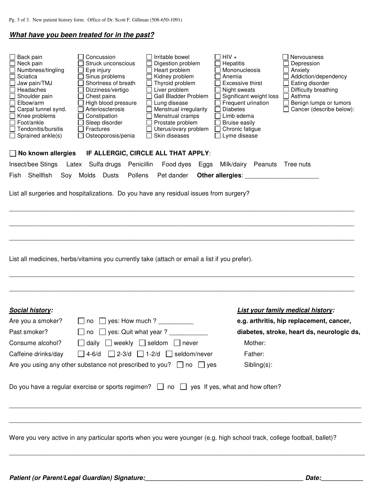### **What have you been treated for in the past?**

| Neck pain<br>Numbness/tingling<br>Sciatica<br>Jaw pain/TMJ<br>Headaches<br>Shoulder pain<br>$\Box$<br>Elbow/arm<br>Carpal tunnel synd.<br>Knee problems<br>П<br>Foot/ankle<br>Tendonitis/bursitis<br>$\Box$ Sprained ankle(s) | Concussion<br>Irritable bowel<br>Struck unconscious<br>Digestion problem<br>Heart problem<br>Eye injury<br>Sinus problems<br>Kidney problem<br>Thyroid problem<br>Shortness of breath<br>Liver problem<br>Dizziness/vertigo<br>Gall Bladder Problem<br>Chest pains<br>Lung disease<br>High blood pressure<br>Arteriosclerosis<br>Menstrual irregularity<br>Constipation<br>Menstrual cramps<br>Sleep disorder<br>Prostate problem<br>Fractures<br>Uterus/ovary problem<br>Skin diseases<br>Osteoporosis/penia | $HIV +$<br>Hepatitis<br>Mononucleosis<br>Anemia<br>Excessive thirst<br>Night sweats<br>Significant weight loss<br>Frequent urination<br><b>Diabetes</b><br>Limb edema<br><b>Bruise easily</b><br>Chronic fatigue<br>Lyme disease | Nervousness<br>Depression<br>Anxiety<br>Addiction/dependency<br>Eating disorder<br>Difficulty breathing<br>Asthma<br>Benign lumps or tumors<br>Cancer (describe below): |
|-------------------------------------------------------------------------------------------------------------------------------------------------------------------------------------------------------------------------------|---------------------------------------------------------------------------------------------------------------------------------------------------------------------------------------------------------------------------------------------------------------------------------------------------------------------------------------------------------------------------------------------------------------------------------------------------------------------------------------------------------------|----------------------------------------------------------------------------------------------------------------------------------------------------------------------------------------------------------------------------------|-------------------------------------------------------------------------------------------------------------------------------------------------------------------------|
| $\Box$ No known allergies                                                                                                                                                                                                     | IF ALLERGIC, CIRCLE ALL THAT APPLY:                                                                                                                                                                                                                                                                                                                                                                                                                                                                           |                                                                                                                                                                                                                                  |                                                                                                                                                                         |
| Insect/bee Stings                                                                                                                                                                                                             | Latex Sulfa drugs Penicillin<br>Food dyes<br>Eggs                                                                                                                                                                                                                                                                                                                                                                                                                                                             | Milk/dairy Peanuts Tree nuts                                                                                                                                                                                                     |                                                                                                                                                                         |
| Shellfish<br>Fish<br>Soy                                                                                                                                                                                                      | Molds Dusts<br>Pollens<br>Pet dander                                                                                                                                                                                                                                                                                                                                                                                                                                                                          |                                                                                                                                                                                                                                  |                                                                                                                                                                         |
|                                                                                                                                                                                                                               | List all surgeries and hospitalizations. Do you have any residual issues from surgery?                                                                                                                                                                                                                                                                                                                                                                                                                        |                                                                                                                                                                                                                                  |                                                                                                                                                                         |
|                                                                                                                                                                                                                               | List all medicines, herbs/vitamins you currently take (attach or email a list if you prefer).                                                                                                                                                                                                                                                                                                                                                                                                                 |                                                                                                                                                                                                                                  |                                                                                                                                                                         |
|                                                                                                                                                                                                                               |                                                                                                                                                                                                                                                                                                                                                                                                                                                                                                               |                                                                                                                                                                                                                                  |                                                                                                                                                                         |
|                                                                                                                                                                                                                               |                                                                                                                                                                                                                                                                                                                                                                                                                                                                                                               |                                                                                                                                                                                                                                  |                                                                                                                                                                         |
| <b>Social history:</b><br>Are you a smoker?                                                                                                                                                                                   | yes: How much ?<br>$\square$ no                                                                                                                                                                                                                                                                                                                                                                                                                                                                               |                                                                                                                                                                                                                                  | List your family medical history:<br>e.g. arthritis, hip replacement, cancer,                                                                                           |
| Past smoker?                                                                                                                                                                                                                  | yes: Quit what year?<br>$\vert \ \ \vert$<br>no                                                                                                                                                                                                                                                                                                                                                                                                                                                               |                                                                                                                                                                                                                                  | diabetes, stroke, heart ds, neurologic ds,                                                                                                                              |
| Consume alcohol?                                                                                                                                                                                                              | daily $\Box$ weekly $\Box$ seldom $\Box$ never<br>$\perp$                                                                                                                                                                                                                                                                                                                                                                                                                                                     | Mother:                                                                                                                                                                                                                          |                                                                                                                                                                         |
| Caffeine drinks/day                                                                                                                                                                                                           | $\Box$ 2-3/d $\Box$ 1-2/d $\Box$ seldom/never<br>$\Box$ 4-6/d                                                                                                                                                                                                                                                                                                                                                                                                                                                 | Father:                                                                                                                                                                                                                          |                                                                                                                                                                         |
|                                                                                                                                                                                                                               | Are you using any other substance not prescribed to you? $\Box$ no $\Box$ yes                                                                                                                                                                                                                                                                                                                                                                                                                                 | Sibling(s):                                                                                                                                                                                                                      |                                                                                                                                                                         |
|                                                                                                                                                                                                                               | Do you have a regular exercise or sports regimen? $\Box$ no $\Box$ yes If yes, what and how often?                                                                                                                                                                                                                                                                                                                                                                                                            |                                                                                                                                                                                                                                  |                                                                                                                                                                         |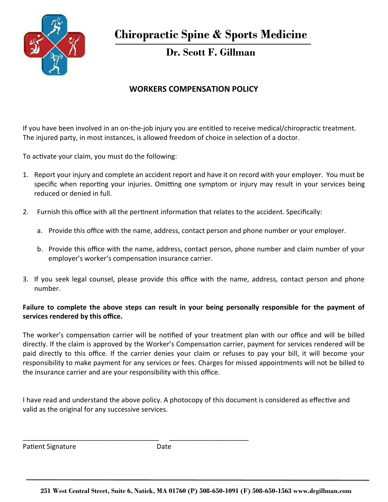

**Dr. Scott F. Gillman**

## **WORKERS COMPENSATION POLICY**

If you have been involved in an on-the-job injury you are entitled to receive medical/chiropractic treatment. The injured party, in most instances, is allowed freedom of choice in selection of a doctor.

To activate your claim, you must do the following:

- 1. Report your injury and complete an accident report and have it on record with your employer. You must be specific when reporting your injuries. Omitting one symptom or injury may result in your services being reduced or denied in full.
- 2. Furnish this office with all the pertinent information that relates to the accident. Specifically:
	- a. Provide this office with the name, address, contact person and phone number or your employer.
	- b. Provide this office with the name, address, contact person, phone number and claim number of your employer's worker's compensation insurance carrier.
- 3. If you seek legal counsel, please provide this office with the name, address, contact person and phone number.

### **Failure to complete the above steps can result in your being personally responsible for the payment of**  services rendered by this office.

The worker's compensation carrier will be notified of your treatment plan with our office and will be billed directly. If the claim is approved by the Worker's Compensation carrier, payment for services rendered will be paid directly to this office. If the carrier denies your claim or refuses to pay your bill, it will become your responsibility to make payment for any services or fees. Charges for missed appointments will not be billed to the insurance carrier and are your responsibility with this office.

I have read and understand the above policy. A photocopy of this document is considered as effective and valid as the original for any successive services.

Patient Signature Date

\_\_\_\_\_\_\_\_\_\_\_\_\_\_\_\_\_\_\_\_\_\_\_\_\_\_\_\_\_\_\_\_\_\_\_\_ \_\_\_\_\_\_\_\_\_\_\_\_\_\_\_\_\_\_\_\_\_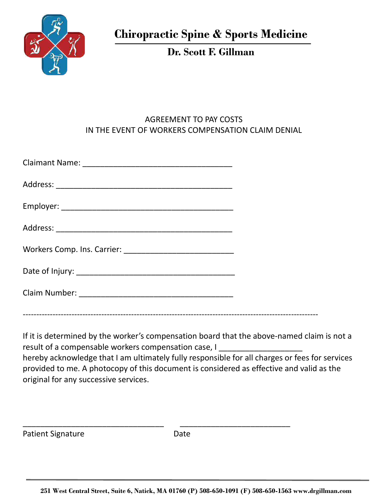

**Dr. Scott F. Gillman** 

## AGREEMENT TO PAY COSTS IN THE EVENT OF WORKERS COMPENSATION CLAIM DENIAL

If it is determined by the worker's compensation board that the above-named claim is not a result of a compensable workers compensation case, I hereby acknowledge that I am ultimately fully responsible for all charges or fees for services provided to me. A photocopy of this document is considered as effective and valid as the original for any successive services.

Patient Signature Date

\_\_\_\_\_\_\_\_\_\_\_\_\_\_\_\_\_\_\_\_\_\_\_\_\_\_\_\_\_\_\_\_ \_\_\_\_\_\_\_\_\_\_\_\_\_\_\_\_\_\_\_\_\_\_\_\_\_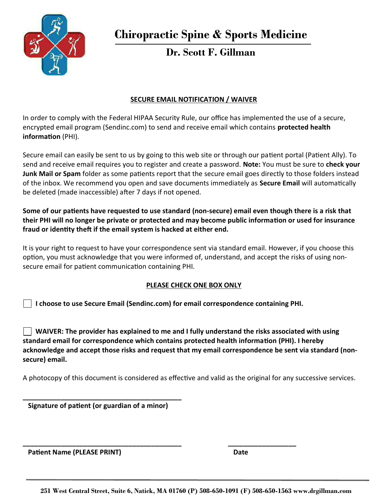

# **Dr. Scott F. Gillman**

## **SECURE EMAIL NOTIFICATION / WAIVER**

In order to comply with the Federal HIPAA Security Rule, our office has implemented the use of a secure, encrypted email program (Sendinc.com) to send and receive email which contains **protected health information** (PHI).

Secure email can easily be sent to us by going to this web site or through our patient portal (Patient Ally). To send and receive email requires you to register and create a password. **Note:** You must be sure to **check your** Junk Mail or Spam folder as some patients report that the secure email goes directly to those folders instead of the inbox. We recommend you open and save documents immediately as **Secure Email** will automatically be deleted (made inaccessible) after 7 days if not opened.

Some of our patients have requested to use standard (non-secure) email even though there is a risk that their PHI will no longer be private or protected and may become public information or used for insurance fraud or identity theft if the email system is hacked at either end.

It is your right to request to have your correspondence sent via standard email. However, if you choose this option, you must acknowledge that you were informed of, understand, and accept the risks of using nonsecure email for patient communication containing PHI.

### **PLEASE CHECK ONE BOX ONLY**

**I choose to use Secure Email (Sendinc.com) for email correspondence containing PHI.**

**\_\_\_\_\_\_\_\_\_\_\_\_\_\_\_\_\_\_\_\_\_\_\_\_\_\_\_\_\_\_\_\_\_\_\_\_\_\_\_\_\_\_ \_\_\_\_\_\_\_\_\_\_\_\_\_\_\_\_\_\_**

 **WAIVER: The provider has explained to me and I fully understand the risks associated with using**  standard email for correspondence which contains protected health information (PHI). I hereby **acknowledge and accept those risks and request that my email correspondence be sent via standard (nonsecure) email.** 

A photocopy of this document is considered as effective and valid as the original for any successive services.

**Signature of patient (or guardian of a minor)** 

**\_\_\_\_\_\_\_\_\_\_\_\_\_\_\_\_\_\_\_\_\_\_\_\_\_\_\_\_\_\_\_\_\_\_\_\_\_\_\_\_\_\_**

**Patient Name (PLEASE PRINT)** Date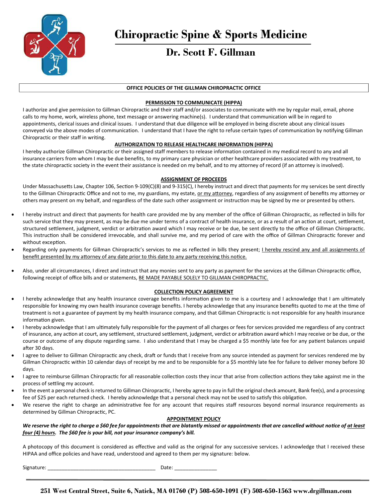

## **Dr. Scott F. Gillman**

#### **OFFICE POLICIES OF THE GILLMAN CHIROPRACTIC OFFICE**

#### **PERMISSION TO COMMUNICATE (HIPPA)**

I authorize and give permission to Gillman Chiropractic and their staff and/or associates to communicate with me by regular mail, email, phone calls to my home, work, wireless phone, text message or answering machine(s). I understand that communication will be in regard to appointments, clerical issues and clinical issues. I understand that due diligence will be employed in being discrete about any clinical issues conveyed via the above modes of communication. I understand that I have the right to refuse certain types of communication by notifying Gillman Chiropractic or their staff in writing.

#### **AUTHORIZATION TO RELEASE HEALTHCARE INFORMATION (HIPPA)**

I hereby authorize Gillman Chiropractic or their assigned staff members to release information contained in my medical record to any and all insurance carriers from whom I may be due benefits, to my primary care physician or other healthcare providers associated with my treatment, to the state chiropractic society in the event their assistance is needed on my behalf, and to my attorney of record (if an attorney is involved).

#### **ASSIGNMENT OF PROCEEDS**

Under Massachusetts Law, Chapter 106, Section 9-109(C)(8) and 9-315(C), I hereby instruct and direct that payments for my services be sent directly to the Gillman Chiropractic Office and not to me, my guardians, my estate, <u>or my attorney</u>, regardless of any assignment of benefits my attorney or others may present on my behalf, and regardless of the date such other assignment or instruction may be signed by me or presented by others.

- I hereby instruct and direct that payments for health care provided me by any member of the office of Gillman Chiropractic, as reflected in bills for such service that they may present, as may be due me under terms of a contract of health insurance, or as a result of an action at court, settlement, structured settlement, judgment, verdict or arbitration award which I may receive or be due, be sent directly to the office of Gillman Chiropractic. This instruction shall be considered irrevocable, and shall survive me, and my period of care with the office of Gillman Chiropractic forever and without exception.
- . Regarding only payments for Gillman Chiropractic's services to me as reflected in bills they present; I hereby rescind any and all assignments of benefit presented by my attorney of any date prior to this date to any party receiving this notice.
- Also, under all circumstances, I direct and instruct that any monies sent to any party as payment for the services at the Gillman Chiropractic office, following receipt of office bills and or statements, BE MADE PAYABLE SOLELY TO GILLMAN CHIROPRACTIC.

#### **COLLECTION POLICY AGREEMENT**

- I hereby acknowledge that any health insurance coverage benefits information given to me is a courtesy and I acknowledge that I am ultimately responsible for knowing my own health insurance coverage benefits. I hereby acknowledge that any insurance benefits quoted to me at the time of treatment is not a guarantee of payment by my health insurance company, and that Gillman Chiropractic is not responsible for any health insurance information given.
- I hereby acknowledge that I am ultimately fully responsible for the payment of all charges or fees for services provided me regardless of any contract of insurance, any action at court, any settlement, structured settlement, judgment, verdict or arbitration award which I may receive or be due, or the course or outcome of any dispute regarding same. I also understand that I may be charged a \$5 monthly late fee for any patient balances unpaid after 30 days.
- I agree to deliver to Gillman Chiropractic any check, draft or funds that I receive from any source intended as payment for services rendered me by Gillman Chiropractic within 10 calendar days of receipt by me and to be responsible for a \$5 monthly late fee for failure to deliver money before 30 days.
- I agree to reimburse Gillman Chiropractic for all reasonable collection costs they incur that arise from collection actions they take against me in the process of settling my account.
- In the event a personal check is returned to Gillman Chiropractic, I hereby agree to pay in full the original check amount, Bank fee(s), and a processing fee of \$25 per each returned check. I hereby acknowledge that a personal check may not be used to satisfy this obligation.
- We reserve the right to charge an administrative fee for any account that requires staff resources beyond normal insurance requirements as determined by Gillman Chiropractic, PC.

#### **APPOINTMENT POLICY**

We reserve the right to charge a \$60 fee for appointments that are blatantly missed or appointments that are cancelled without notice of at least *four (4) hours. The \$60 fee is your bill, not your insurance companyís bill.* 

A photocopy of this document is considered as effective and valid as the original for any successive services. I acknowledge that I received these HIPAA and office policies and have read, understood and agreed to them per my signature: below.

Signature: \_\_\_\_\_\_\_\_\_\_\_\_\_\_\_\_\_\_\_\_\_\_\_\_\_\_\_\_\_\_\_\_\_\_\_\_\_\_ Date: \_\_\_\_\_\_\_\_\_\_\_\_\_\_\_

**251 West Central Street, Suite 6, Natick, MA 01760 (P) 508-650-1091 (F) 508-650-1563 www.drgillman.com**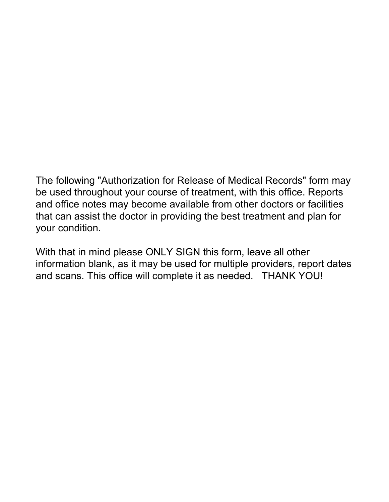The following "Authorization for Release of Medical Records" form may be used throughout your course of treatment, with this office. Reports and office notes may become available from other doctors or facilities that can assist the doctor in providing the best treatment and plan for your condition.

With that in mind please ONLY SIGN this form, leave all other information blank, as it may be used for multiple providers, report dates and scans. This office will complete it as needed. THANK YOU!